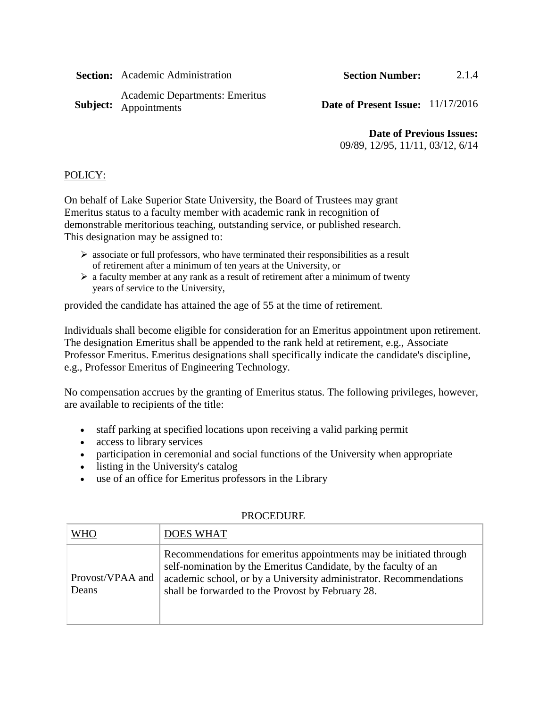**Section:** Academic Administration **Section Number:** 2.1.4

Subject: Appointments Academic Departments: Emeritus

Date of Present Issue:  $11/17/2016$ 

**Date of Previous Issues:**

09/89, 12/95, 11/11, 03/12, 6/14

## POLICY:

On behalf of Lake Superior State University, the Board of Trustees may grant Emeritus status to a faculty member with academic rank in recognition of demonstrable meritorious teaching, outstanding service, or published research. This designation may be assigned to:

- $\triangleright$  associate or full professors, who have terminated their responsibilities as a result of retirement after a minimum of ten years at the University, or
- $\triangleright$  a faculty member at any rank as a result of retirement after a minimum of twenty years of service to the University,

provided the candidate has attained the age of 55 at the time of retirement.

Individuals shall become eligible for consideration for an Emeritus appointment upon retirement. The designation Emeritus shall be appended to the rank held at retirement, e.g., Associate Professor Emeritus. Emeritus designations shall specifically indicate the candidate's discipline, e.g., Professor Emeritus of Engineering Technology.

No compensation accrues by the granting of Emeritus status. The following privileges, however, are available to recipients of the title:

- staff parking at specified locations upon receiving a valid parking permit
- access to library services
- participation in ceremonial and social functions of the University when appropriate
- listing in the University's catalog
- use of an office for Emeritus professors in the Library

| <b>WHO</b>                | <b>DOES WHAT</b>                                                                                                                                                                                                                                                  |
|---------------------------|-------------------------------------------------------------------------------------------------------------------------------------------------------------------------------------------------------------------------------------------------------------------|
| Provost/VPAA and<br>Deans | Recommendations for emerities appointments may be initiated through<br>self-nomination by the Emeritus Candidate, by the faculty of an<br>academic school, or by a University administrator. Recommendations<br>shall be forwarded to the Provost by February 28. |

## PROCEDURE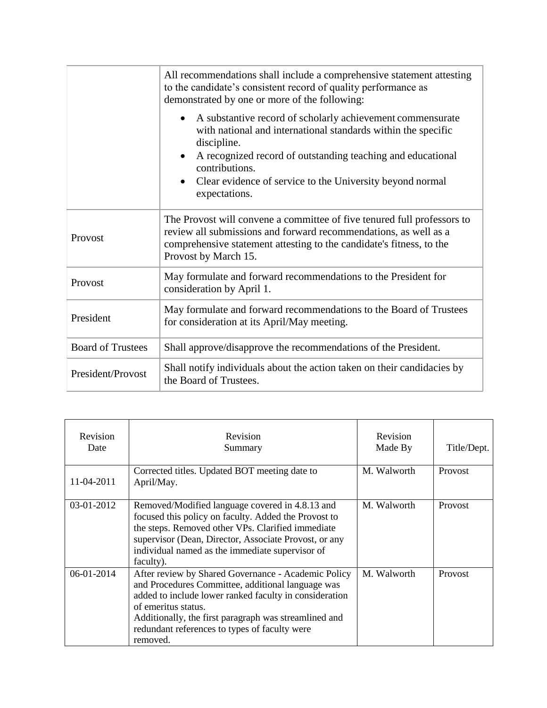|                          | All recommendations shall include a comprehensive statement attesting<br>to the candidate's consistent record of quality performance as<br>demonstrated by one or more of the following:                                                                                                                  |  |
|--------------------------|-----------------------------------------------------------------------------------------------------------------------------------------------------------------------------------------------------------------------------------------------------------------------------------------------------------|--|
|                          | A substantive record of scholarly achievement commensurate<br>with national and international standards within the specific<br>discipline.<br>A recognized record of outstanding teaching and educational<br>contributions.<br>Clear evidence of service to the University beyond normal<br>expectations. |  |
| Provost                  | The Provost will convene a committee of five tenured full professors to<br>review all submissions and forward recommendations, as well as a<br>comprehensive statement attesting to the candidate's fitness, to the<br>Provost by March 15.                                                               |  |
| Provost                  | May formulate and forward recommendations to the President for<br>consideration by April 1.                                                                                                                                                                                                               |  |
| President                | May formulate and forward recommendations to the Board of Trustees<br>for consideration at its April/May meeting.                                                                                                                                                                                         |  |
| <b>Board of Trustees</b> | Shall approve/disapprove the recommendations of the President.                                                                                                                                                                                                                                            |  |
| President/Provost        | Shall notify individuals about the action taken on their candidacies by<br>the Board of Trustees.                                                                                                                                                                                                         |  |

| Revision<br>Date | Revision<br>Summary                                                                                                                                                                                                                                                                                             | Revision<br>Made By | Title/Dept.    |
|------------------|-----------------------------------------------------------------------------------------------------------------------------------------------------------------------------------------------------------------------------------------------------------------------------------------------------------------|---------------------|----------------|
| 11-04-2011       | Corrected titles. Updated BOT meeting date to<br>April/May.                                                                                                                                                                                                                                                     | M. Walworth         | Provost        |
| 03-01-2012       | Removed/Modified language covered in 4.8.13 and<br>focused this policy on faculty. Added the Provost to<br>the steps. Removed other VPs. Clarified immediate<br>supervisor (Dean, Director, Associate Provost, or any<br>individual named as the immediate supervisor of<br>faculty).                           | M. Walworth         | <b>Provost</b> |
| 06-01-2014       | After review by Shared Governance - Academic Policy<br>and Procedures Committee, additional language was<br>added to include lower ranked faculty in consideration<br>of emeritus status.<br>Additionally, the first paragraph was streamlined and<br>redundant references to types of faculty were<br>removed. | M. Walworth         | Provost        |